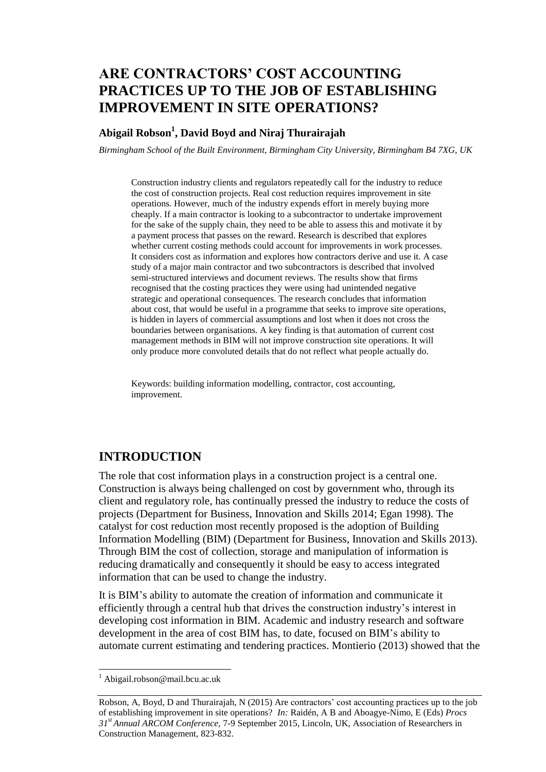# **ARE CONTRACTORS' COST ACCOUNTING PRACTICES UP TO THE JOB OF ESTABLISHING IMPROVEMENT IN SITE OPERATIONS?**

### **Abigail Robson<sup>1</sup> , David Boyd and Niraj Thurairajah**

*Birmingham School of the Built Environment, Birmingham City University, Birmingham B4 7XG, UK*

Construction industry clients and regulators repeatedly call for the industry to reduce the cost of construction projects. Real cost reduction requires improvement in site operations. However, much of the industry expends effort in merely buying more cheaply. If a main contractor is looking to a subcontractor to undertake improvement for the sake of the supply chain, they need to be able to assess this and motivate it by a payment process that passes on the reward. Research is described that explores whether current costing methods could account for improvements in work processes. It considers cost as information and explores how contractors derive and use it. A case study of a major main contractor and two subcontractors is described that involved semi-structured interviews and document reviews. The results show that firms recognised that the costing practices they were using had unintended negative strategic and operational consequences. The research concludes that information about cost, that would be useful in a programme that seeks to improve site operations, is hidden in layers of commercial assumptions and lost when it does not cross the boundaries between organisations. A key finding is that automation of current cost management methods in BIM will not improve construction site operations. It will only produce more convoluted details that do not reflect what people actually do.

Keywords: building information modelling, contractor, cost accounting, improvement.

#### **INTRODUCTION**

The role that cost information plays in a construction project is a central one. Construction is always being challenged on cost by government who, through its client and regulatory role, has continually pressed the industry to reduce the costs of projects (Department for Business, Innovation and Skills 2014; Egan 1998). The catalyst for cost reduction most recently proposed is the adoption of Building Information Modelling (BIM) (Department for Business, Innovation and Skills 2013). Through BIM the cost of collection, storage and manipulation of information is reducing dramatically and consequently it should be easy to access integrated information that can be used to change the industry.

It is BIM's ability to automate the creation of information and communicate it efficiently through a central hub that drives the construction industry's interest in developing cost information in BIM. Academic and industry research and software development in the area of cost BIM has, to date, focused on BIM's ability to automate current estimating and tendering practices. Montierio (2013) showed that the

 $\overline{a}$ 

 $<sup>1</sup>$  Abigail.robson@mail.bcu.ac.uk</sup>

Robson, A, Boyd, D and Thurairajah, N (2015) Are contractors' cost accounting practices up to the job of establishing improvement in site operations? *In:* Raidén, A B and Aboagye-Nimo, E (Eds) *Procs 31st Annual ARCOM Conference,* 7-9 September 2015, Lincoln, UK, Association of Researchers in Construction Management, 823-832.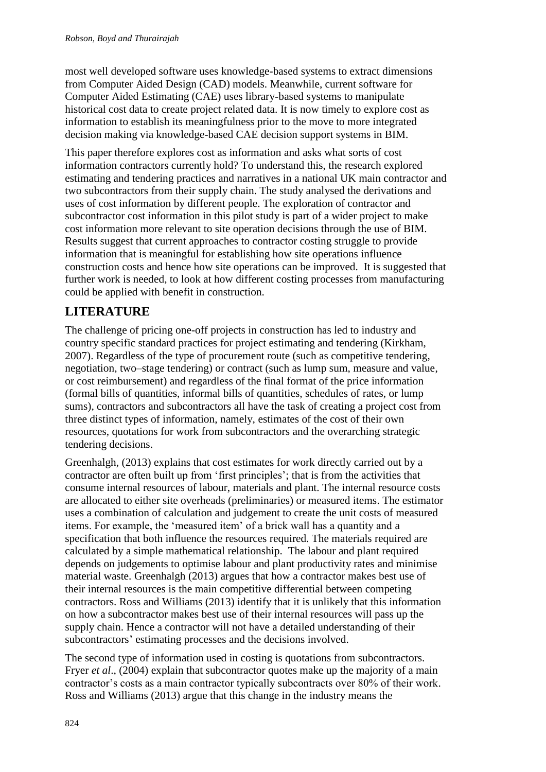most well developed software uses knowledge-based systems to extract dimensions from Computer Aided Design (CAD) models. Meanwhile, current software for Computer Aided Estimating (CAE) uses library-based systems to manipulate historical cost data to create project related data. It is now timely to explore cost as information to establish its meaningfulness prior to the move to more integrated decision making via knowledge-based CAE decision support systems in BIM.

This paper therefore explores cost as information and asks what sorts of cost information contractors currently hold? To understand this, the research explored estimating and tendering practices and narratives in a national UK main contractor and two subcontractors from their supply chain. The study analysed the derivations and uses of cost information by different people. The exploration of contractor and subcontractor cost information in this pilot study is part of a wider project to make cost information more relevant to site operation decisions through the use of BIM. Results suggest that current approaches to contractor costing struggle to provide information that is meaningful for establishing how site operations influence construction costs and hence how site operations can be improved. It is suggested that further work is needed, to look at how different costing processes from manufacturing could be applied with benefit in construction.

# **LITERATURE**

The challenge of pricing one-off projects in construction has led to industry and country specific standard practices for project estimating and tendering (Kirkham, 2007). Regardless of the type of procurement route (such as competitive tendering, negotiation, two–stage tendering) or contract (such as lump sum, measure and value, or cost reimbursement) and regardless of the final format of the price information (formal bills of quantities, informal bills of quantities, schedules of rates, or lump sums), contractors and subcontractors all have the task of creating a project cost from three distinct types of information, namely, estimates of the cost of their own resources, quotations for work from subcontractors and the overarching strategic tendering decisions.

Greenhalgh, (2013) explains that cost estimates for work directly carried out by a contractor are often built up from 'first principles'; that is from the activities that consume internal resources of labour, materials and plant. The internal resource costs are allocated to either site overheads (preliminaries) or measured items. The estimator uses a combination of calculation and judgement to create the unit costs of measured items. For example, the 'measured item' of a brick wall has a quantity and a specification that both influence the resources required. The materials required are calculated by a simple mathematical relationship. The labour and plant required depends on judgements to optimise labour and plant productivity rates and minimise material waste. Greenhalgh (2013) argues that how a contractor makes best use of their internal resources is the main competitive differential between competing contractors. Ross and Williams (2013) identify that it is unlikely that this information on how a subcontractor makes best use of their internal resources will pass up the supply chain. Hence a contractor will not have a detailed understanding of their subcontractors' estimating processes and the decisions involved.

The second type of information used in costing is quotations from subcontractors. Fryer *et al*., (2004) explain that subcontractor quotes make up the majority of a main contractor's costs as a main contractor typically subcontracts over 80% of their work. Ross and Williams (2013) argue that this change in the industry means the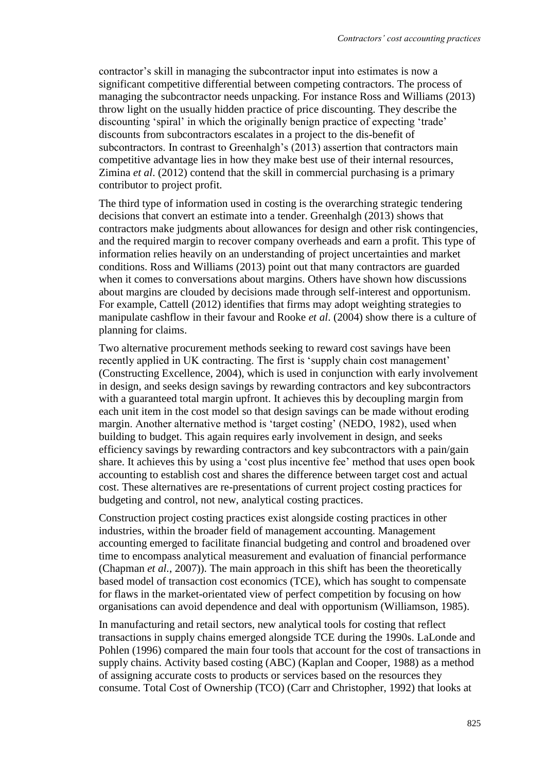contractor's skill in managing the subcontractor input into estimates is now a significant competitive differential between competing contractors. The process of managing the subcontractor needs unpacking. For instance Ross and Williams (2013) throw light on the usually hidden practice of price discounting. They describe the discounting 'spiral' in which the originally benign practice of expecting 'trade' discounts from subcontractors escalates in a project to the dis-benefit of subcontractors. In contrast to Greenhalgh's (2013) assertion that contractors main competitive advantage lies in how they make best use of their internal resources, Zimina *et al*. (2012) contend that the skill in commercial purchasing is a primary contributor to project profit.

The third type of information used in costing is the overarching strategic tendering decisions that convert an estimate into a tender. Greenhalgh (2013) shows that contractors make judgments about allowances for design and other risk contingencies, and the required margin to recover company overheads and earn a profit. This type of information relies heavily on an understanding of project uncertainties and market conditions. Ross and Williams (2013) point out that many contractors are guarded when it comes to conversations about margins. Others have shown how discussions about margins are clouded by decisions made through self-interest and opportunism. For example, Cattell (2012) identifies that firms may adopt weighting strategies to manipulate cashflow in their favour and Rooke *et al*. (2004) show there is a culture of planning for claims.

Two alternative procurement methods seeking to reward cost savings have been recently applied in UK contracting. The first is 'supply chain cost management' (Constructing Excellence, 2004), which is used in conjunction with early involvement in design, and seeks design savings by rewarding contractors and key subcontractors with a guaranteed total margin upfront. It achieves this by decoupling margin from each unit item in the cost model so that design savings can be made without eroding margin. Another alternative method is 'target costing' (NEDO, 1982), used when building to budget. This again requires early involvement in design, and seeks efficiency savings by rewarding contractors and key subcontractors with a pain/gain share. It achieves this by using a 'cost plus incentive fee' method that uses open book accounting to establish cost and shares the difference between target cost and actual cost. These alternatives are re-presentations of current project costing practices for budgeting and control, not new, analytical costing practices.

Construction project costing practices exist alongside costing practices in other industries, within the broader field of management accounting. Management accounting emerged to facilitate financial budgeting and control and broadened over time to encompass analytical measurement and evaluation of financial performance (Chapman *et al.*, 2007)). The main approach in this shift has been the theoretically based model of transaction cost economics (TCE), which has sought to compensate for flaws in the market-orientated view of perfect competition by focusing on how organisations can avoid dependence and deal with opportunism (Williamson, 1985).

In manufacturing and retail sectors, new analytical tools for costing that reflect transactions in supply chains emerged alongside TCE during the 1990s. LaLonde and Pohlen (1996) compared the main four tools that account for the cost of transactions in supply chains. Activity based costing (ABC) (Kaplan and Cooper, 1988) as a method of assigning accurate costs to products or services based on the resources they consume. Total Cost of Ownership (TCO) (Carr and Christopher, 1992) that looks at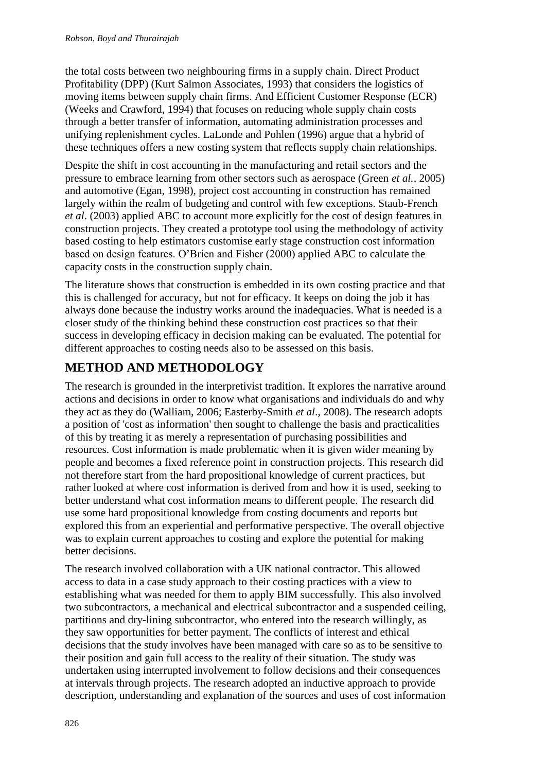the total costs between two neighbouring firms in a supply chain. Direct Product Profitability (DPP) (Kurt Salmon Associates, 1993) that considers the logistics of moving items between supply chain firms. And Efficient Customer Response (ECR) (Weeks and Crawford, 1994) that focuses on reducing whole supply chain costs through a better transfer of information, automating administration processes and unifying replenishment cycles. LaLonde and Pohlen (1996) argue that a hybrid of these techniques offers a new costing system that reflects supply chain relationships.

Despite the shift in cost accounting in the manufacturing and retail sectors and the pressure to embrace learning from other sectors such as aerospace (Green *et al.,* 2005) and automotive (Egan, 1998), project cost accounting in construction has remained largely within the realm of budgeting and control with few exceptions. Staub-French *et al*. (2003) applied ABC to account more explicitly for the cost of design features in construction projects. They created a prototype tool using the methodology of activity based costing to help estimators customise early stage construction cost information based on design features. O'Brien and Fisher (2000) applied ABC to calculate the capacity costs in the construction supply chain.

The literature shows that construction is embedded in its own costing practice and that this is challenged for accuracy, but not for efficacy. It keeps on doing the job it has always done because the industry works around the inadequacies. What is needed is a closer study of the thinking behind these construction cost practices so that their success in developing efficacy in decision making can be evaluated. The potential for different approaches to costing needs also to be assessed on this basis.

## **METHOD AND METHODOLOGY**

The research is grounded in the interpretivist tradition. It explores the narrative around actions and decisions in order to know what organisations and individuals do and why they act as they do (Walliam, 2006; Easterby-Smith *et al*., 2008). The research adopts a position of 'cost as information' then sought to challenge the basis and practicalities of this by treating it as merely a representation of purchasing possibilities and resources. Cost information is made problematic when it is given wider meaning by people and becomes a fixed reference point in construction projects. This research did not therefore start from the hard propositional knowledge of current practices, but rather looked at where cost information is derived from and how it is used, seeking to better understand what cost information means to different people. The research did use some hard propositional knowledge from costing documents and reports but explored this from an experiential and performative perspective. The overall objective was to explain current approaches to costing and explore the potential for making better decisions.

The research involved collaboration with a UK national contractor. This allowed access to data in a case study approach to their costing practices with a view to establishing what was needed for them to apply BIM successfully. This also involved two subcontractors, a mechanical and electrical subcontractor and a suspended ceiling, partitions and dry-lining subcontractor, who entered into the research willingly, as they saw opportunities for better payment. The conflicts of interest and ethical decisions that the study involves have been managed with care so as to be sensitive to their position and gain full access to the reality of their situation. The study was undertaken using interrupted involvement to follow decisions and their consequences at intervals through projects. The research adopted an inductive approach to provide description, understanding and explanation of the sources and uses of cost information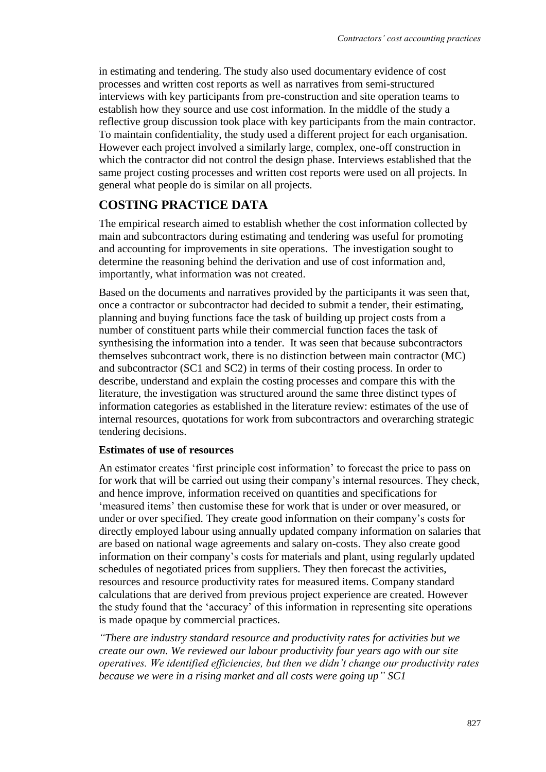in estimating and tendering. The study also used documentary evidence of cost processes and written cost reports as well as narratives from semi-structured interviews with key participants from pre-construction and site operation teams to establish how they source and use cost information. In the middle of the study a reflective group discussion took place with key participants from the main contractor. To maintain confidentiality, the study used a different project for each organisation. However each project involved a similarly large, complex, one-off construction in which the contractor did not control the design phase. Interviews established that the same project costing processes and written cost reports were used on all projects. In general what people do is similar on all projects.

## **COSTING PRACTICE DATA**

The empirical research aimed to establish whether the cost information collected by main and subcontractors during estimating and tendering was useful for promoting and accounting for improvements in site operations. The investigation sought to determine the reasoning behind the derivation and use of cost information and, importantly, what information was not created.

Based on the documents and narratives provided by the participants it was seen that, once a contractor or subcontractor had decided to submit a tender, their estimating, planning and buying functions face the task of building up project costs from a number of constituent parts while their commercial function faces the task of synthesising the information into a tender. It was seen that because subcontractors themselves subcontract work, there is no distinction between main contractor (MC) and subcontractor (SC1 and SC2) in terms of their costing process. In order to describe, understand and explain the costing processes and compare this with the literature, the investigation was structured around the same three distinct types of information categories as established in the literature review: estimates of the use of internal resources, quotations for work from subcontractors and overarching strategic tendering decisions.

#### **Estimates of use of resources**

An estimator creates 'first principle cost information' to forecast the price to pass on for work that will be carried out using their company's internal resources. They check, and hence improve, information received on quantities and specifications for 'measured items' then customise these for work that is under or over measured, or under or over specified. They create good information on their company's costs for directly employed labour using annually updated company information on salaries that are based on national wage agreements and salary on-costs. They also create good information on their company's costs for materials and plant, using regularly updated schedules of negotiated prices from suppliers. They then forecast the activities, resources and resource productivity rates for measured items. Company standard calculations that are derived from previous project experience are created. However the study found that the 'accuracy' of this information in representing site operations is made opaque by commercial practices.

*"There are industry standard resource and productivity rates for activities but we create our own. We reviewed our labour productivity four years ago with our site operatives. We identified efficiencies, but then we didn't change our productivity rates because we were in a rising market and all costs were going up" SC1*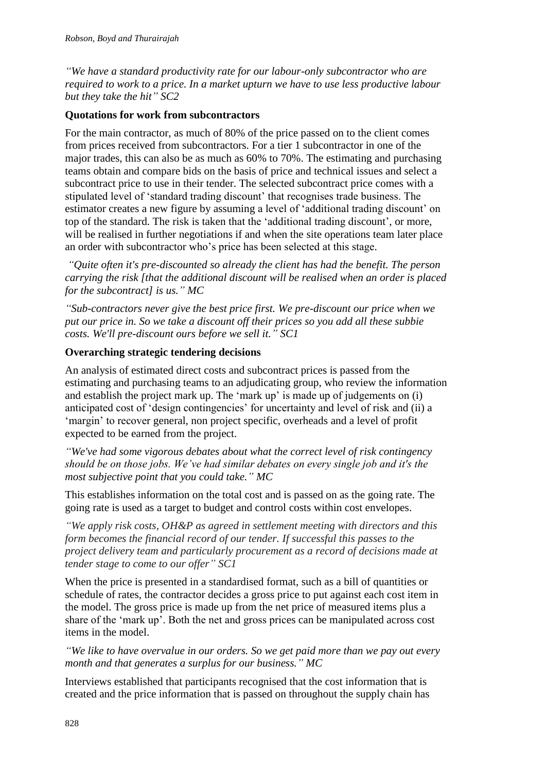*"We have a standard productivity rate for our labour-only subcontractor who are required to work to a price. In a market upturn we have to use less productive labour but they take the hit" SC2*

#### **Quotations for work from subcontractors**

For the main contractor, as much of 80% of the price passed on to the client comes from prices received from subcontractors. For a tier 1 subcontractor in one of the major trades, this can also be as much as 60% to 70%. The estimating and purchasing teams obtain and compare bids on the basis of price and technical issues and select a subcontract price to use in their tender. The selected subcontract price comes with a stipulated level of 'standard trading discount' that recognises trade business. The estimator creates a new figure by assuming a level of 'additional trading discount' on top of the standard. The risk is taken that the 'additional trading discount', or more, will be realised in further negotiations if and when the site operations team later place an order with subcontractor who's price has been selected at this stage.

*"Quite often it's pre-discounted so already the client has had the benefit. The person carrying the risk [that the additional discount will be realised when an order is placed for the subcontract] is us." MC*

*"Sub-contractors never give the best price first. We pre-discount our price when we put our price in. So we take a discount off their prices so you add all these subbie costs. We'll pre-discount ours before we sell it." SC1*

#### **Overarching strategic tendering decisions**

An analysis of estimated direct costs and subcontract prices is passed from the estimating and purchasing teams to an adjudicating group, who review the information and establish the project mark up. The 'mark up' is made up of judgements on (i) anticipated cost of 'design contingencies' for uncertainty and level of risk and (ii) a 'margin' to recover general, non project specific, overheads and a level of profit expected to be earned from the project.

*"We've had some vigorous debates about what the correct level of risk contingency should be on those jobs. We've had similar debates on every single job and it's the most subjective point that you could take." MC* 

This establishes information on the total cost and is passed on as the going rate. The going rate is used as a target to budget and control costs within cost envelopes.

*"We apply risk costs, OH&P as agreed in settlement meeting with directors and this form becomes the financial record of our tender. If successful this passes to the project delivery team and particularly procurement as a record of decisions made at tender stage to come to our offer" SC1*

When the price is presented in a standardised format, such as a bill of quantities or schedule of rates, the contractor decides a gross price to put against each cost item in the model. The gross price is made up from the net price of measured items plus a share of the 'mark up'. Both the net and gross prices can be manipulated across cost items in the model.

*"We like to have overvalue in our orders. So we get paid more than we pay out every month and that generates a surplus for our business." MC*

Interviews established that participants recognised that the cost information that is created and the price information that is passed on throughout the supply chain has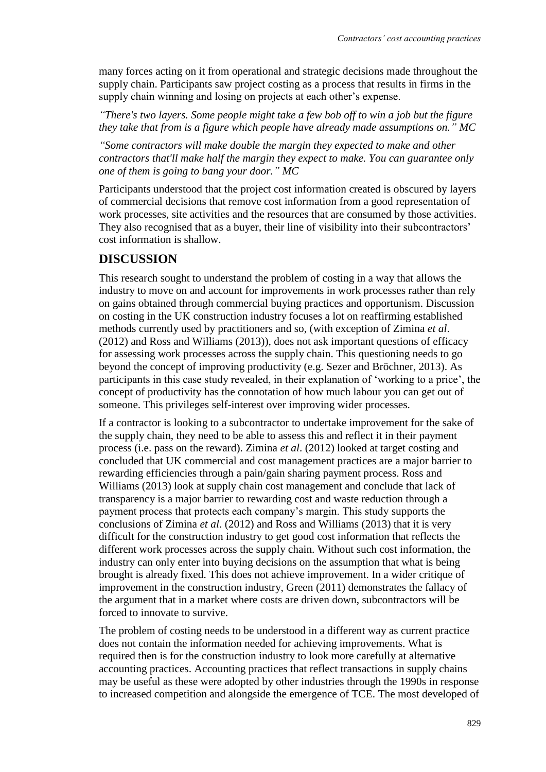many forces acting on it from operational and strategic decisions made throughout the supply chain. Participants saw project costing as a process that results in firms in the supply chain winning and losing on projects at each other's expense.

*"There's two layers. Some people might take a few bob off to win a job but the figure they take that from is a figure which people have already made assumptions on." MC*

*"Some contractors will make double the margin they expected to make and other contractors that'll make half the margin they expect to make. You can guarantee only one of them is going to bang your door." MC*

Participants understood that the project cost information created is obscured by layers of commercial decisions that remove cost information from a good representation of work processes, site activities and the resources that are consumed by those activities. They also recognised that as a buyer, their line of visibility into their subcontractors' cost information is shallow.

### **DISCUSSION**

This research sought to understand the problem of costing in a way that allows the industry to move on and account for improvements in work processes rather than rely on gains obtained through commercial buying practices and opportunism. Discussion on costing in the UK construction industry focuses a lot on reaffirming established methods currently used by practitioners and so, (with exception of Zimina *et al*. (2012) and Ross and Williams (2013)), does not ask important questions of efficacy for assessing work processes across the supply chain. This questioning needs to go beyond the concept of improving productivity (e.g. Sezer and Bröchner, 2013). As participants in this case study revealed, in their explanation of 'working to a price', the concept of productivity has the connotation of how much labour you can get out of someone. This privileges self-interest over improving wider processes.

If a contractor is looking to a subcontractor to undertake improvement for the sake of the supply chain, they need to be able to assess this and reflect it in their payment process (i.e. pass on the reward). Zimina *et al*. (2012) looked at target costing and concluded that UK commercial and cost management practices are a major barrier to rewarding efficiencies through a pain/gain sharing payment process. Ross and Williams (2013) look at supply chain cost management and conclude that lack of transparency is a major barrier to rewarding cost and waste reduction through a payment process that protects each company's margin. This study supports the conclusions of Zimina *et al*. (2012) and Ross and Williams (2013) that it is very difficult for the construction industry to get good cost information that reflects the different work processes across the supply chain. Without such cost information, the industry can only enter into buying decisions on the assumption that what is being brought is already fixed. This does not achieve improvement. In a wider critique of improvement in the construction industry, Green (2011) demonstrates the fallacy of the argument that in a market where costs are driven down, subcontractors will be forced to innovate to survive.

The problem of costing needs to be understood in a different way as current practice does not contain the information needed for achieving improvements. What is required then is for the construction industry to look more carefully at alternative accounting practices. Accounting practices that reflect transactions in supply chains may be useful as these were adopted by other industries through the 1990s in response to increased competition and alongside the emergence of TCE. The most developed of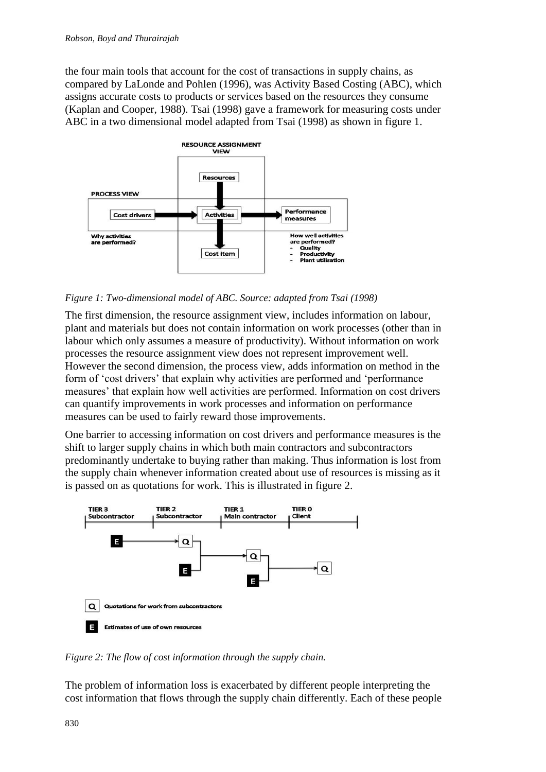the four main tools that account for the cost of transactions in supply chains, as compared by LaLonde and Pohlen (1996), was Activity Based Costing (ABC), which assigns accurate costs to products or services based on the resources they consume (Kaplan and Cooper, 1988). Tsai (1998) gave a framework for measuring costs under ABC in a two dimensional model adapted from Tsai (1998) as shown in figure 1.



*Figure 1: Two-dimensional model of ABC. Source: adapted from Tsai (1998)* 

The first dimension, the resource assignment view, includes information on labour, plant and materials but does not contain information on work processes (other than in labour which only assumes a measure of productivity). Without information on work processes the resource assignment view does not represent improvement well. However the second dimension, the process view, adds information on method in the form of 'cost drivers' that explain why activities are performed and 'performance measures' that explain how well activities are performed. Information on cost drivers can quantify improvements in work processes and information on performance measures can be used to fairly reward those improvements.

One barrier to accessing information on cost drivers and performance measures is the shift to larger supply chains in which both main contractors and subcontractors predominantly undertake to buying rather than making. Thus information is lost from the supply chain whenever information created about use of resources is missing as it is passed on as quotations for work. This is illustrated in figure 2.



*Figure 2: The flow of cost information through the supply chain.*

The problem of information loss is exacerbated by different people interpreting the cost information that flows through the supply chain differently. Each of these people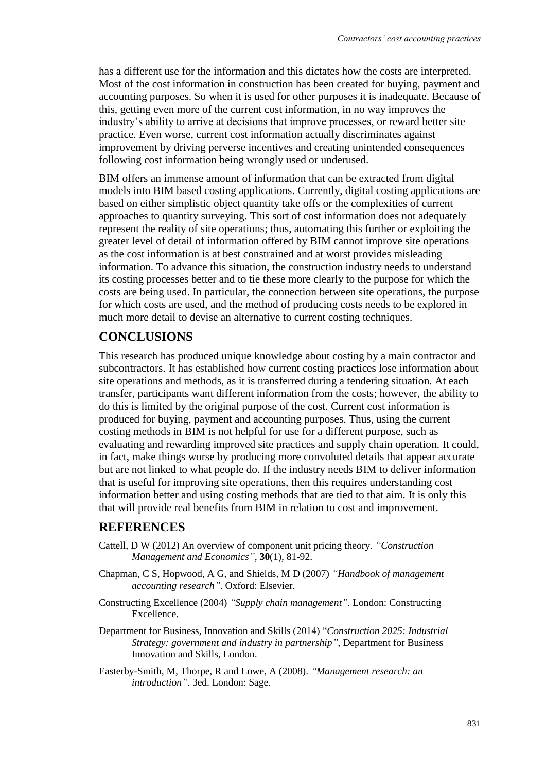has a different use for the information and this dictates how the costs are interpreted. Most of the cost information in construction has been created for buying, payment and accounting purposes. So when it is used for other purposes it is inadequate. Because of this, getting even more of the current cost information, in no way improves the industry's ability to arrive at decisions that improve processes, or reward better site practice. Even worse, current cost information actually discriminates against improvement by driving perverse incentives and creating unintended consequences following cost information being wrongly used or underused.

BIM offers an immense amount of information that can be extracted from digital models into BIM based costing applications. Currently, digital costing applications are based on either simplistic object quantity take offs or the complexities of current approaches to quantity surveying. This sort of cost information does not adequately represent the reality of site operations; thus, automating this further or exploiting the greater level of detail of information offered by BIM cannot improve site operations as the cost information is at best constrained and at worst provides misleading information. To advance this situation, the construction industry needs to understand its costing processes better and to tie these more clearly to the purpose for which the costs are being used. In particular, the connection between site operations, the purpose for which costs are used, and the method of producing costs needs to be explored in much more detail to devise an alternative to current costing techniques.

## **CONCLUSIONS**

This research has produced unique knowledge about costing by a main contractor and subcontractors. It has established how current costing practices lose information about site operations and methods, as it is transferred during a tendering situation. At each transfer, participants want different information from the costs; however, the ability to do this is limited by the original purpose of the cost. Current cost information is produced for buying, payment and accounting purposes. Thus, using the current costing methods in BIM is not helpful for use for a different purpose, such as evaluating and rewarding improved site practices and supply chain operation. It could, in fact, make things worse by producing more convoluted details that appear accurate but are not linked to what people do. If the industry needs BIM to deliver information that is useful for improving site operations, then this requires understanding cost information better and using costing methods that are tied to that aim. It is only this that will provide real benefits from BIM in relation to cost and improvement.

### **REFERENCES**

- Cattell, D W (2012) An overview of component unit pricing theory. *"Construction Management and Economics"*, **30**(1), 81-92.
- Chapman, C S, Hopwood, A G, and Shields, M D (2007) *"Handbook of management accounting research"*. Oxford: Elsevier.
- Constructing Excellence (2004) *"Supply chain management"*. London: Constructing Excellence.
- Department for Business, Innovation and Skills (2014) "*Construction 2025: Industrial Strategy: government and industry in partnership"*, Department for Business Innovation and Skills, London.
- Easterby-Smith, M, Thorpe, R and Lowe, A (2008). *"Management research: an introduction"*. 3ed. London: Sage.